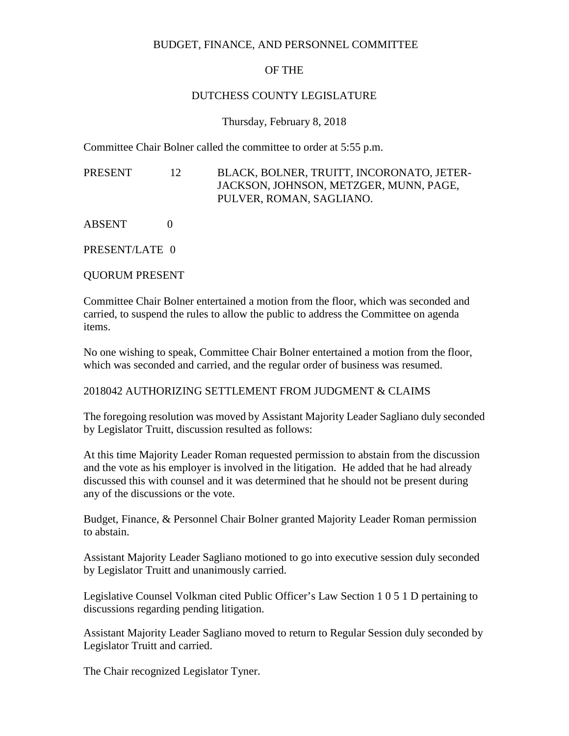### BUDGET, FINANCE, AND PERSONNEL COMMITTEE

# OF THE

## DUTCHESS COUNTY LEGISLATURE

### Thursday, February 8, 2018

Committee Chair Bolner called the committee to order at 5:55 p.m.

PRESENT 12 BLACK, BOLNER, TRUITT, INCORONATO, JETER-JACKSON, JOHNSON, METZGER, MUNN, PAGE, PULVER, ROMAN, SAGLIANO.

ABSENT 0

PRESENT/LATE 0

QUORUM PRESENT

Committee Chair Bolner entertained a motion from the floor, which was seconded and carried, to suspend the rules to allow the public to address the Committee on agenda items.

No one wishing to speak, Committee Chair Bolner entertained a motion from the floor, which was seconded and carried, and the regular order of business was resumed.

### 2018042 AUTHORIZING SETTLEMENT FROM JUDGMENT & CLAIMS

The foregoing resolution was moved by Assistant Majority Leader Sagliano duly seconded by Legislator Truitt, discussion resulted as follows:

At this time Majority Leader Roman requested permission to abstain from the discussion and the vote as his employer is involved in the litigation. He added that he had already discussed this with counsel and it was determined that he should not be present during any of the discussions or the vote.

Budget, Finance, & Personnel Chair Bolner granted Majority Leader Roman permission to abstain.

Assistant Majority Leader Sagliano motioned to go into executive session duly seconded by Legislator Truitt and unanimously carried.

Legislative Counsel Volkman cited Public Officer's Law Section 1 0 5 1 D pertaining to discussions regarding pending litigation.

Assistant Majority Leader Sagliano moved to return to Regular Session duly seconded by Legislator Truitt and carried.

The Chair recognized Legislator Tyner.